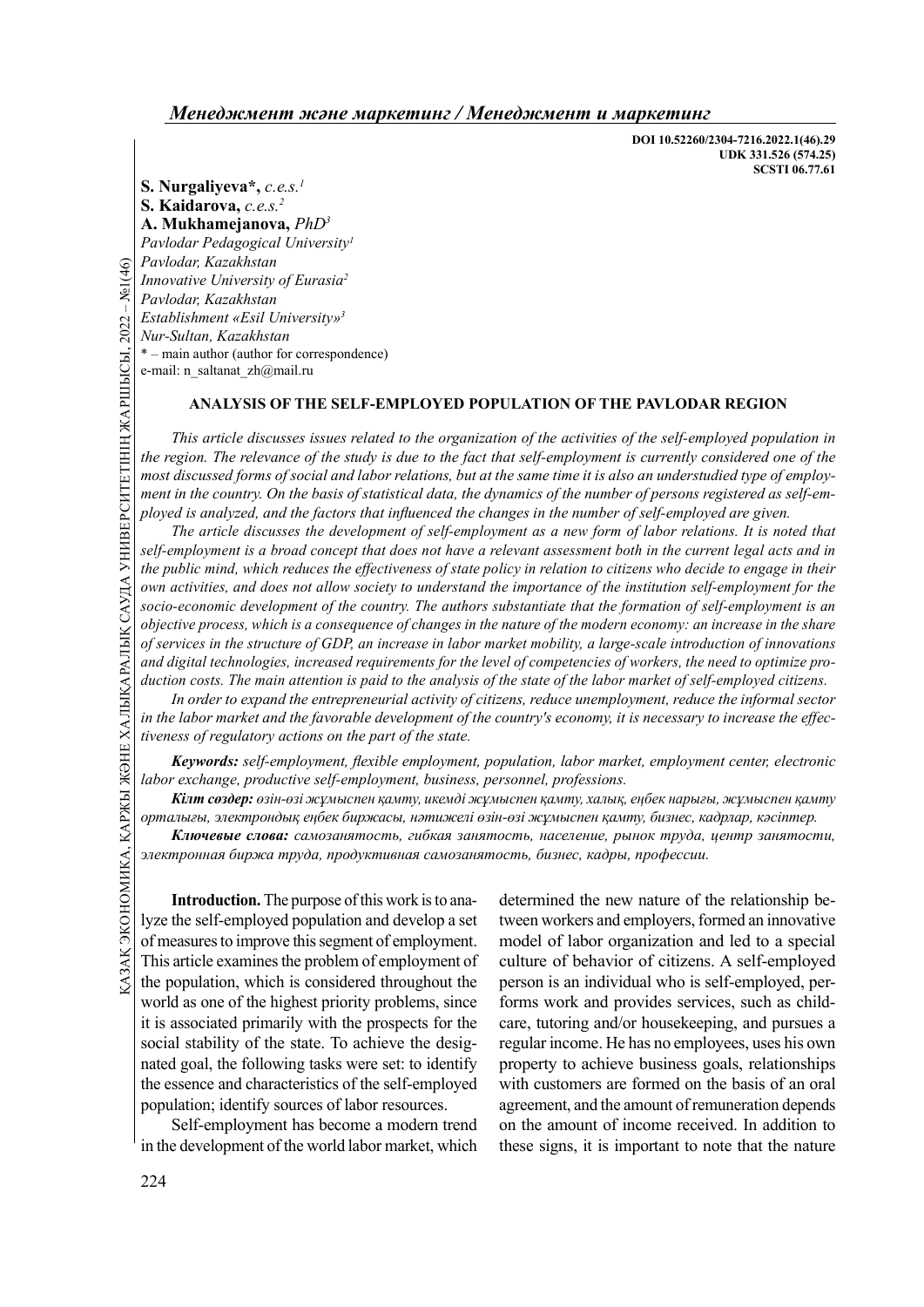DOI 10.52260/2304-7216.2022.1(46).29 UDK 331.526 (574.25) SCSTI 06.77.61

S. Nurgaliyeva\*,  $c.e.s.$ <sup>1</sup> S. Kaidarova, c.e.s.<sup>2</sup> А. Mukhamejanova, PhD<sup>3</sup> Pavlodar Pedagogical University<sup>1</sup> Pavlodar, Kazakhstan Innovative University of Eurasia<sup>2</sup> Pavlodar, Kazakhstan Establishment «Esil University»<sup>3</sup> Nur-Sultan, Kazakhstan \* – main author (author for correspondence) e-mail: n\_saltanat\_zh@mail.ru

#### ANALYSIS OF THE SELF-EMPLOYED POPULATION OF THE PAVLODAR REGION

This article discusses issues related to the organization of the activities of the self-employed population in the region. The relevance of the study is due to the fact that self-employment is currently considered one of the most discussed forms of social and labor relations, but at the same time it is also an understudied type of employment in the country. On the basis of statistical data, the dynamics of the number of persons registered as self-employed is analyzed, and the factors that influenced the changes in the number of self-employed are given.

*Comparing Havlodar, Kazakhstan*<br> *Innovative University of I*<br> *Pavlodar, Kazakhstan*<br> *Establishment «Esil University of I*<br> *Establishment «Esil University of i*<br> *Nur-Sultan, Kazakhstan*<br> **ANALYSIS OF**<br> *This article d* The article discusses the development of self-employment as a new form of labor relations. It is noted that self-employment is a broad concept that does not have a relevant assessment both in the current legal acts and in the public mind, which reduces the effectiveness of state policy in relation to citizens who decide to engage in their own activities, and does not allow society to understand the importance of the institution self-employment for the socio-economic development of the country. The authors substantiate that the formation of self-employment is an objective process, which is a consequence of changes in the nature of the modern economy: an increase in the share of services in the structure of GDP, an increase in labor market mobility, a large-scale introduction of innovations and digital technologies, increased requirements for the level of competencies of workers, the need to optimize production costs. The main attention is paid to the analysis of the state of the labor market of self-employed citizens.

In order to expand the entrepreneurial activity of citizens, reduce unemployment, reduce the informal sector in the labor market and the favorable development of the country's economy, it is necessary to increase the effectiveness of regulatory actions on the part of the state.

Keywords: self-employment, flexible employment, population, labor market, employment center, electronic labor exchange, productive self-employment, business, personnel, professions.

Кілт сөздер: өзін-өзі жұмыспен қамту, икемді жұмыспен қамту, халық, еңбек нарығы, жұмыспен қамту орталығы, электрондық еңбек биржасы, нәтижелі өзін-өзі жұмыспен қамту, бизнес, кадрлар, кәсіптер.

Ключевые слова: самозанятость, гибкая занятость, население, рынок труда, центр занятости, электронная биржа труда, продуктивная самозанятость, бизнес, кадры, профессии.

Here  $\frac{1}{2}$  and the exchange, productive self-employment, business, personnel, profe<br>  $\frac{1}{2}$   $\frac{1}{2}$   $\frac{1}{2}$   $\frac{1}{2}$   $\frac{1}{2}$   $\frac{1}{2}$   $\frac{1}{2}$   $\frac{1}{2}$   $\frac{1}{2}$   $\frac{1}{2}$   $\frac{1}{2}$   $\frac{1}{2}$   $\frac{1}{2}$   $\$ Introduction. The purpose of this work is to analyze the self-employed population and develop a set of measures to improve this segment of employment. This article examines the problem of employment of the population, which is considered throughout the world as one of the highest priority problems, since it is associated primarily with the prospects for the social stability of the state. To achieve the designated goal, the following tasks were set: to identify the essence and characteristics of the self-employed population; identify sources of labor resources.

Self-employment has become a modern trend in the development of the world labor market, which

determined the new nature of the relationship between workers and employers, formed an innovative model of labor organization and led to a special culture of behavior of citizens. A self-employed person is an individual who is self-employed, performs work and provides services, such as childcare, tutoring and/or housekeeping, and pursues a regular income. He has no employees, uses his own property to achieve business goals, relationships with customers are formed on the basis of an oral agreement, and the amount of remuneration depends on the amount of income received. In addition to these signs, it is important to note that the nature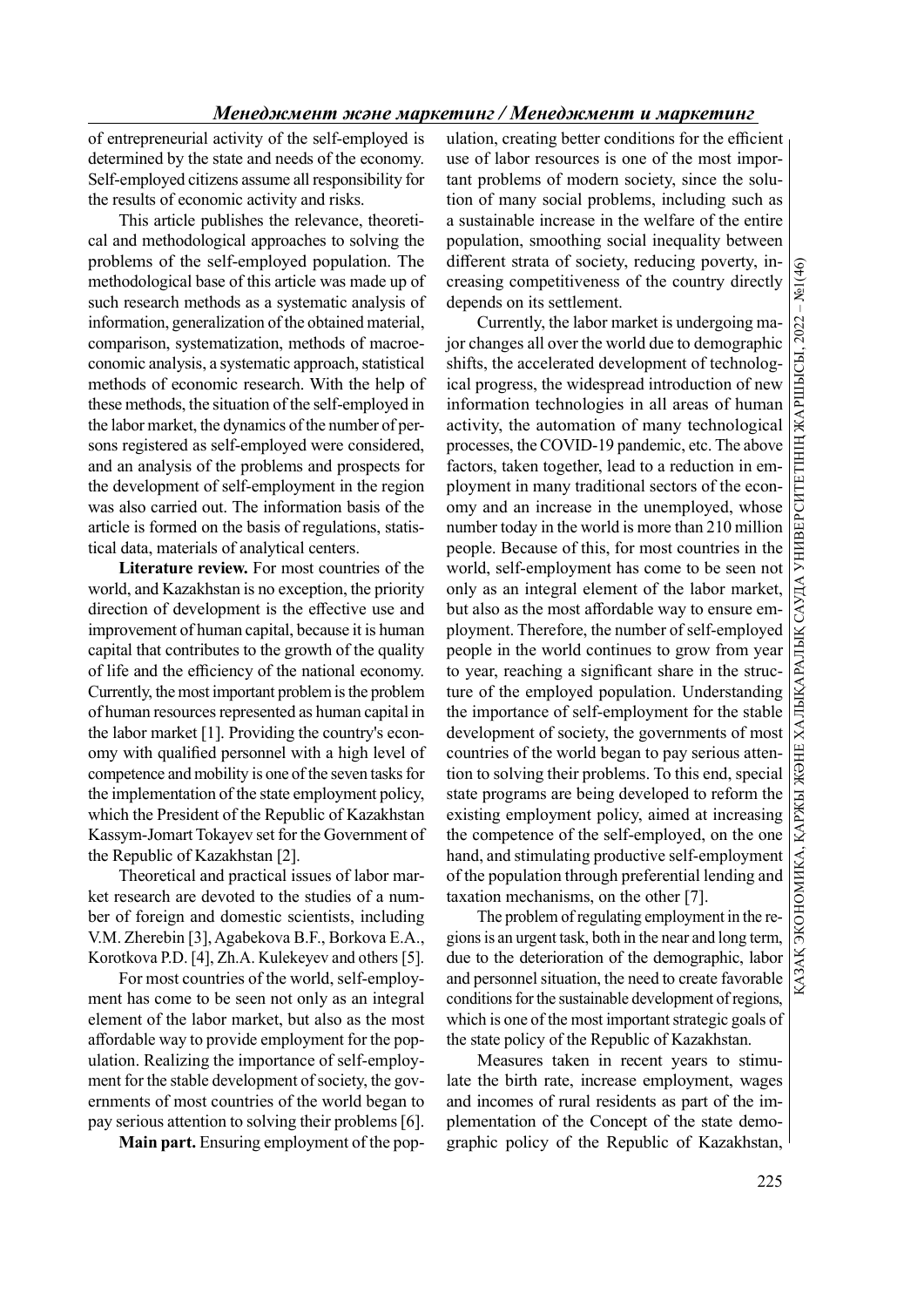of entrepreneurial activity of the self-employed is determined by the state and needs of the economy. Self-employed citizens assume all responsibility for the results of economic activity and risks.

This article publishes the relevance, theoretical and methodological approaches to solving the problems of the self-employed population. The methodological base of this article was made up of such research methods as a systematic analysis of information, generalization of the obtained material, comparison, systematization, methods of macroeconomic analysis, a systematic approach, statistical methods of economic research. With the help of these methods, the situation of the self-employed in the labor market, the dynamics of the number of persons registered as self-employed were considered, and an analysis of the problems and prospects for the development of self-employment in the region was also carried out. The information basis of the article is formed on the basis of regulations, statistical data, materials of analytical centers.

Literature review. For most countries of the world, and Kazakhstan is no exception, the priority direction of development is the effective use and improvement of human capital, because it is human capital that contributes to the growth of the quality of life and the efficiency of the national economy. Currently, the most important problem is the problem of human resources represented as human capital in the labor market [1]. Providing the country's economy with qualified personnel with a high level of competence and mobility is one of the seven tasks for the implementation of the state employment policy, which the President of the Republic of Kazakhstan Kassym-Jomart Tokayev set for the Government of the Republic of Kazakhstan [2].

Theoretical and practical issues of labor market research are devoted to the studies of a number of foreign and domestic scientists, including V.M. Zherebin [3], Agabekova B.F., Borkova E.A., Korotkova P.D. [4], Zh.A. Kulekeyev and others [5].

For most countries of the world, self-employment has come to be seen not only as an integral element of the labor market, but also as the most affordable way to provide employment for the population. Realizing the importance of self-employment for the stable development of society, the governments of most countries of the world began to pay serious attention to solving their problems [6].

Main part. Ensuring employment of the pop-

ulation, creating better conditions for the efficient use of labor resources is one of the most important problems of modern society, since the solution of many social problems, including such as a sustainable increase in the welfare of the entire population, smoothing social inequality between different strata of society, reducing poverty, increasing competitiveness of the country directly depends on its settlement.

Currently, the labor market is undergoing major changes all over the world due to demographic shifts, the accelerated development of technological progress, the widespread introduction of new Currently, the labor market is undergoing ma-<br>for changes all over the world due to demographie<br>shifts, the accelerated development of technolog-<br>ical progress, the widespread introduction of new<br>information technologies activity, the automation of many technological processes, the COVID-19 pandemic, etc. The above factors, taken together, lead to a reduction in employment in many traditional sectors of the economy and an increase in the unemployed, whose number today in the world is more than 210 million people. Because of this, for most countries in the world, self-employment has come to be seen not only as an integral element of the labor market, but also as the most affordable way to ensure employment. Therefore, the number of self-employed people in the world continues to grow from year to year, reaching a significant share in the structure of the employed population. Understanding the importance of self-employment for the stable development of society, the governments of most countries of the world began to pay serious attention to solving their problems. To this end, special state programs are being developed to reform the existing employment policy, aimed at increasing the competence of the self-employed, on the one hand, and stimulating productive self-employment of the population through preferential lending and taxation mechanisms, on the other [7].

The problem of regulating employment in the regions is an urgent task, both in the near and long term, due to the deterioration of the demographic, labor and personnel situation, the need to create favorable conditions for the sustainable development of regions, which is one of the most important strategic goals of the state policy of the Republic of Kazakhstan.

Measures taken in recent years to stimulate the birth rate, increase employment, wages and incomes of rural residents as part of the implementation of the Concept of the state demographic policy of the Republic of Kazakhstan,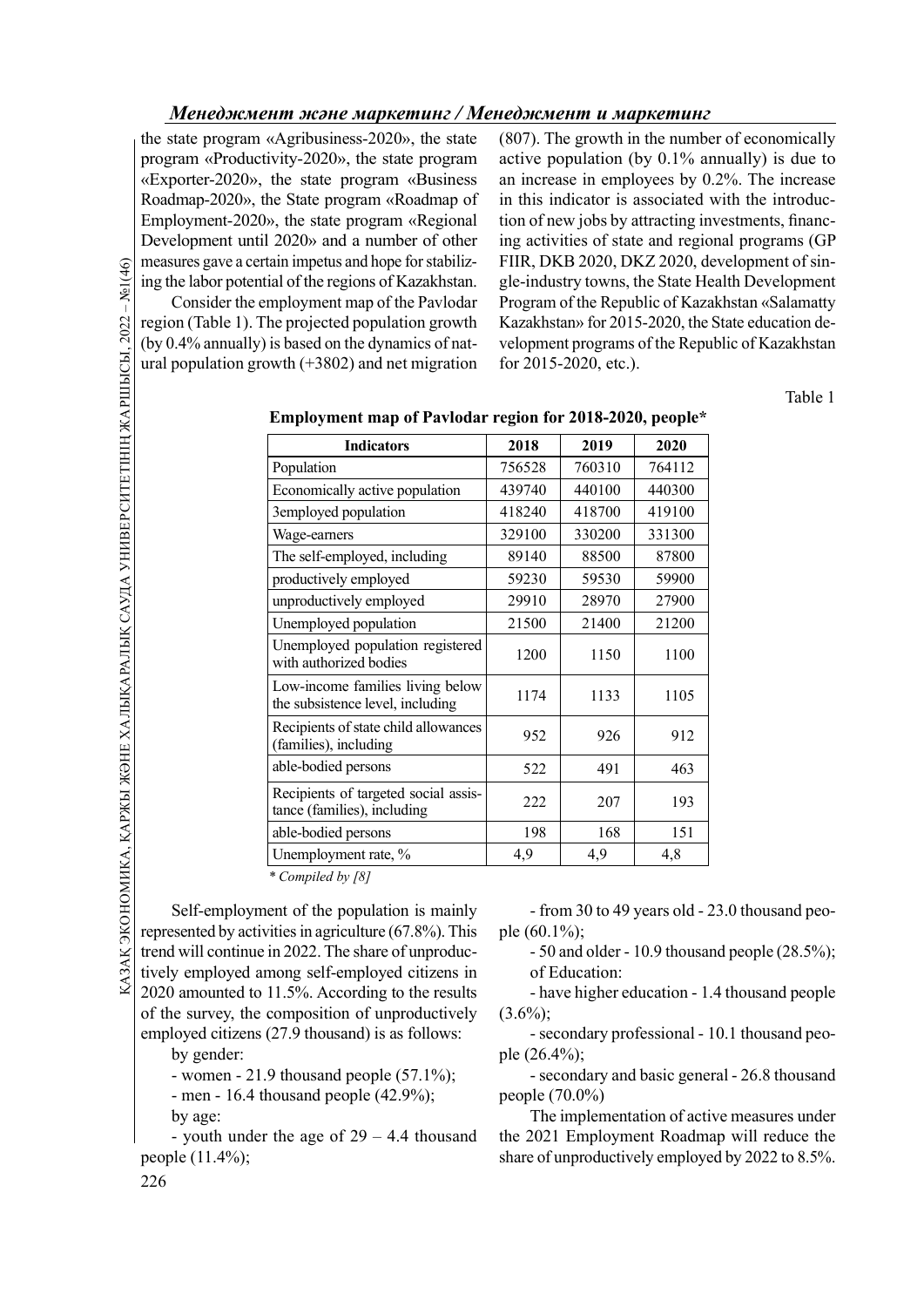the state program «Agribusiness-2020», the state program «Productivity-2020», the state program «Exporter-2020», the state program «Business Roadmap-2020», the State program «Roadmap of Employment-2020», the state program «Regional Development until 2020» and a number of other measures gave a certain impetus and hope for stabilizing the labor potential of the regions of Kazakhstan.

(807). The growth in the number of economically active population (by 0.1% annually) is due to an increase in employees by 0.2%. The increase in this indicator is associated with the introduction of new jobs by attracting investments, financing activities of state and regional programs (GP FIIR, DKB 2020, DKZ 2020, development of single-industry towns, the State Health Development Program of the Republic of Kazakhstan «Salamatty Kazakhstan» for 2015-2020, the State education development programs of the Republic of Kazakhstan for 2015-2020, etc.).

Table 1

| $-$ Ne1(46)<br>.А, ҚАРЖЫ ЖӘНЕ ХАЛЫҚАРАЛЫҚ САУДА УНИВЕРСИТЕТІНІҢ ЖАРШЫСЫ, 2022 | measures gave a certain impetus and nope for stabiliz-<br>ing the labor potential of the regions of Kazakhstan.<br>Consider the employment map of the Pavlodar<br>region (Table 1). The projected population growth<br>(by 0.4% annually) is based on the dynamics of nat-<br>ural population growth $(+3802)$ and net migration | FIIK, DKB 2020, DKZ 2020, 00<br>gle-industry towns, the State He<br>Program of the Republic of Kaza<br>Kazakhstan» for 2015-2020, the<br>velopment programs of the Repu<br>for 2015-2020, etc.). |                |                |                |
|-------------------------------------------------------------------------------|----------------------------------------------------------------------------------------------------------------------------------------------------------------------------------------------------------------------------------------------------------------------------------------------------------------------------------|--------------------------------------------------------------------------------------------------------------------------------------------------------------------------------------------------|----------------|----------------|----------------|
|                                                                               |                                                                                                                                                                                                                                                                                                                                  | Employment map of Pavlodar region for 2018-2020, people*                                                                                                                                         |                |                |                |
|                                                                               |                                                                                                                                                                                                                                                                                                                                  | <b>Indicators</b><br>Population                                                                                                                                                                  | 2018<br>756528 | 2019<br>760310 | 2020<br>764112 |
|                                                                               |                                                                                                                                                                                                                                                                                                                                  | Economically active population                                                                                                                                                                   | 439740         | 440100         | 440300         |
|                                                                               |                                                                                                                                                                                                                                                                                                                                  | 3employed population                                                                                                                                                                             | 418240         | 418700         | 419100         |
|                                                                               |                                                                                                                                                                                                                                                                                                                                  | Wage-earners                                                                                                                                                                                     | 329100         | 330200         | 331300         |
|                                                                               |                                                                                                                                                                                                                                                                                                                                  | The self-employed, including                                                                                                                                                                     | 89140          | 88500          | 87800          |
|                                                                               |                                                                                                                                                                                                                                                                                                                                  | productively employed                                                                                                                                                                            | 59230          | 59530          | 59900          |
|                                                                               |                                                                                                                                                                                                                                                                                                                                  | unproductively employed                                                                                                                                                                          | 29910          | 28970          | 27900          |
|                                                                               |                                                                                                                                                                                                                                                                                                                                  | Unemployed population                                                                                                                                                                            | 21500          | 21400          | 21200          |
|                                                                               |                                                                                                                                                                                                                                                                                                                                  | Unemployed population registered<br>with authorized bodies                                                                                                                                       | 1200           | 1150           | 1100           |
|                                                                               |                                                                                                                                                                                                                                                                                                                                  | Low-income families living below<br>the subsistence level, including                                                                                                                             | 1174           | 1133           | 1105           |
|                                                                               |                                                                                                                                                                                                                                                                                                                                  | Recipients of state child allowances<br>(families), including                                                                                                                                    | 952            | 926            | 912            |
|                                                                               |                                                                                                                                                                                                                                                                                                                                  | able-bodied persons                                                                                                                                                                              | 522            | 491            | 463            |
|                                                                               |                                                                                                                                                                                                                                                                                                                                  | Recipients of targeted social assis-<br>tance (families), including                                                                                                                              | 222            | 207            | 193            |
|                                                                               |                                                                                                                                                                                                                                                                                                                                  | able-bodied persons                                                                                                                                                                              | 198            | 168            | 151            |
|                                                                               |                                                                                                                                                                                                                                                                                                                                  | Unemployment rate, %                                                                                                                                                                             | 4,9            | 4,9            | 4,8            |

Employment map of Pavlodar region for 2018-2020, people\*

 $\overline{\ast}$  Compiled by [8]

Recipients of targeted social assis-<br>  $\frac{1}{222}$ <br>  $\frac{1}{222}$ <br>  $\frac{1}{222}$ <br>  $\frac{1}{222}$ <br>  $\frac{1}{222}$ <br>  $\frac{1}{222}$ <br>  $\frac{1}{222}$ <br>  $\frac{1}{222}$ <br>  $\frac{1}{222}$ <br>  $\frac{1}{222}$ <br>  $\frac{1}{222}$ <br>  $\frac{1}{222}$ <br>  $\frac{1}{222}$ <br>  $\frac{1}{222}$ <br> Self-employment of the population is mainly represented by activities in agriculture (67.8%). This trend will continue in 2022. The share of unproductively employed among self-employed citizens in 2020 amounted to 11.5%. According to the results of the survey, the composition of unproductively employed citizens (27.9 thousand) is as follows: by gender:

- women - 21.9 thousand people (57.1%);

- men - 16.4 thousand people (42.9%); by age:

- youth under the age of 29 – 4.4 thousand people (11.4%);

- from 30 to 49 years old - 23.0 thousand people (60.1%);

- 50 and older - 10.9 thousand people (28.5%); of Education:

- have higher education - 1.4 thousand people  $(3.6\%)$ ;

- secondary professional - 10.1 thousand people (26.4%);

- secondary and basic general - 26.8 thousand people (70.0%)

The implementation of active measures under the 2021 Employment Roadmap will reduce the share of unproductively employed by 2022 to 8.5%.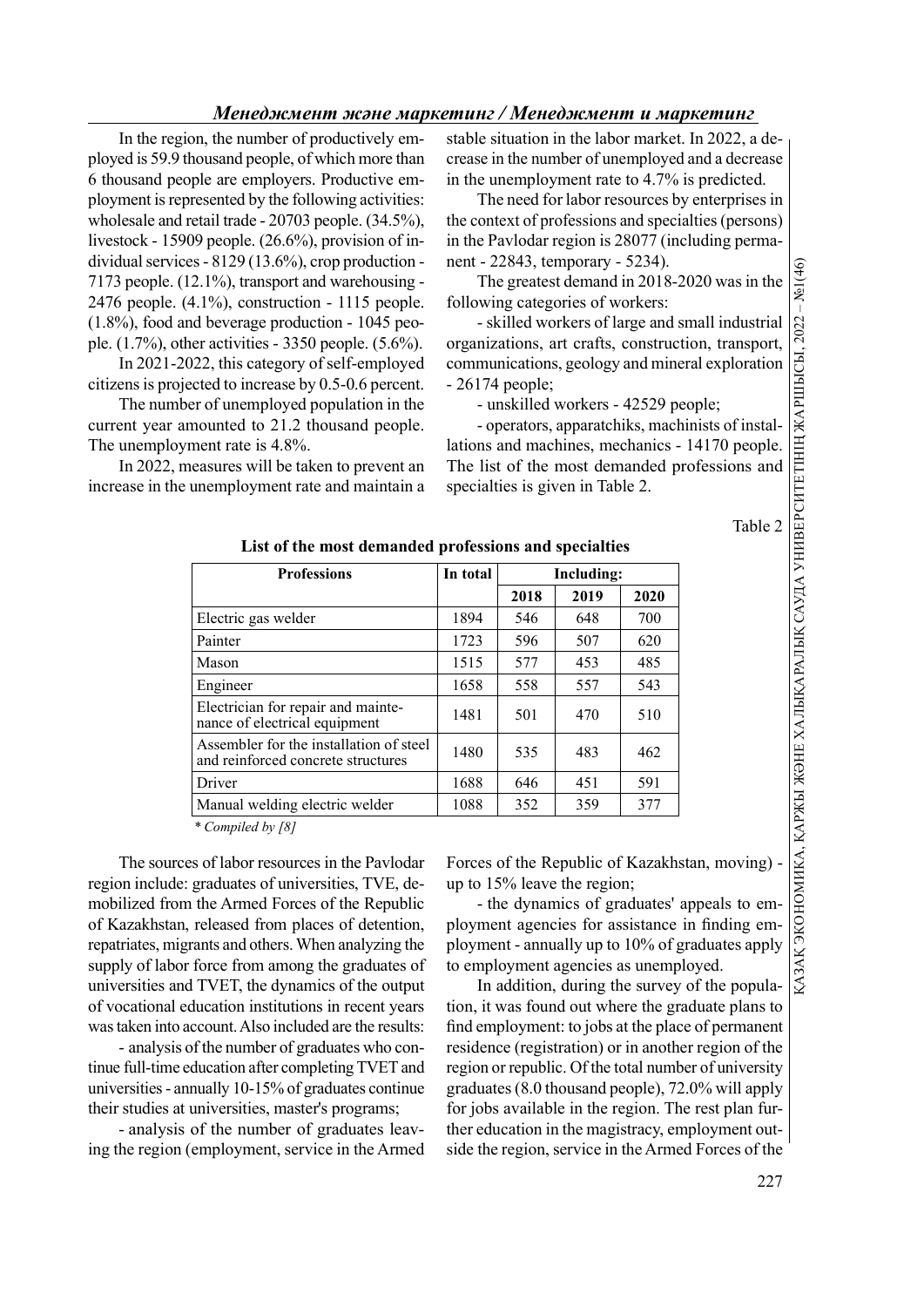In the region, the number of productively employed is 59.9 thousand people, of which more than 6 thousand people are employers. Productive employment is represented by the following activities: wholesale and retail trade - 20703 people. (34.5%), livestock - 15909 people. (26.6%), provision of individual services - 8129 (13.6%), crop production - 7173 people. (12.1%), transport and warehousing - 2476 people. (4.1%), construction - 1115 people. (1.8%), food and beverage production - 1045 people. (1.7%), other activities - 3350 people. (5.6%).

In 2021-2022, this category of self-employed citizens is projected to increase by 0.5-0.6 percent.

The number of unemployed population in the current year amounted to 21.2 thousand people. The unemployment rate is 4.8%.

In 2022, measures will be taken to prevent an increase in the unemployment rate and maintain a stable situation in the labor market. In 2022, a decrease in the number of unemployed and a decrease in the unemployment rate to 4.7% is predicted.

The need for labor resources by enterprises in the context of professions and specialties (persons) in the Pavlodar region is 28077 (including permanent - 22843, temporary - 5234).

The greatest demand in 2018-2020 was in the following categories of workers:

| d beverage production - 1045 peo-<br>er activities - 3350 people. $(5.6\%)$ .<br>22, this category of self-employed<br>cted to increase by 0.5-0.6 percent.<br>er of unemployed population in the<br>nounted to 21.2 thousand people.<br>nent rate is 4.8%.<br>easures will be taken to prevent an<br>unemployment rate and maintain a | - skilled workers of large and small industrial<br>.2022<br>organizations, art crafts, construction, transport,<br>ЖАРШЫСЫ.<br>communications, geology and mineral exploration<br>$-26174$ people;<br>- unskilled workers - 42529 people;<br>- operators, apparatchiks, machinists of instal-<br>lations and machines, mechanics - 14170 people.<br>The list of the most demanded professions and<br>specialties is given in Table 2. |      |      |      |         |                                                               |
|----------------------------------------------------------------------------------------------------------------------------------------------------------------------------------------------------------------------------------------------------------------------------------------------------------------------------------------|---------------------------------------------------------------------------------------------------------------------------------------------------------------------------------------------------------------------------------------------------------------------------------------------------------------------------------------------------------------------------------------------------------------------------------------|------|------|------|---------|---------------------------------------------------------------|
| List of the most demanded professions and specialties                                                                                                                                                                                                                                                                                  |                                                                                                                                                                                                                                                                                                                                                                                                                                       |      |      |      | Table 2 | «АЗАК ЭКОНОМИКА, ҚАРЖЫ ЖӘНЕ ХАЛЫҚАРАЛЫҚ САУДА УНИВЕРСИТЕТІНІҢ |
| <b>Professions</b>                                                                                                                                                                                                                                                                                                                     | In total<br><b>Including:</b>                                                                                                                                                                                                                                                                                                                                                                                                         |      |      |      |         |                                                               |
|                                                                                                                                                                                                                                                                                                                                        |                                                                                                                                                                                                                                                                                                                                                                                                                                       | 2018 | 2019 | 2020 |         |                                                               |
| Electric gas welder                                                                                                                                                                                                                                                                                                                    | 1894                                                                                                                                                                                                                                                                                                                                                                                                                                  | 546  | 648  | 700  |         |                                                               |
| Painter                                                                                                                                                                                                                                                                                                                                | 1723                                                                                                                                                                                                                                                                                                                                                                                                                                  | 596  | 507  | 620  |         |                                                               |
| Mason                                                                                                                                                                                                                                                                                                                                  | 1515                                                                                                                                                                                                                                                                                                                                                                                                                                  | 577  | 453  | 485  |         |                                                               |
| Engineer                                                                                                                                                                                                                                                                                                                               | 1658                                                                                                                                                                                                                                                                                                                                                                                                                                  | 558  | 557  | 543  |         |                                                               |
| Electrician for repair and mainte-<br>nance of electrical equipment                                                                                                                                                                                                                                                                    | 1481                                                                                                                                                                                                                                                                                                                                                                                                                                  | 501  | 470  | 510  |         |                                                               |
| Assembler for the installation of steel<br>and reinforced concrete structures                                                                                                                                                                                                                                                          | 1480                                                                                                                                                                                                                                                                                                                                                                                                                                  | 535  | 483  | 462  |         |                                                               |
| Driver                                                                                                                                                                                                                                                                                                                                 | 1688                                                                                                                                                                                                                                                                                                                                                                                                                                  | 646  | 451  | 591  |         |                                                               |
| Manual welding electric welder                                                                                                                                                                                                                                                                                                         | 1088                                                                                                                                                                                                                                                                                                                                                                                                                                  | 352  | 359  | 377  |         |                                                               |
| * Compiled by [8]                                                                                                                                                                                                                                                                                                                      |                                                                                                                                                                                                                                                                                                                                                                                                                                       |      |      |      |         |                                                               |
| s of labor resources in the Pavlodar                                                                                                                                                                                                                                                                                                   | Forces of the Republic of Kazakhstan, moving) -                                                                                                                                                                                                                                                                                                                                                                                       |      |      |      |         |                                                               |
| graduates of universities, TVE, de-                                                                                                                                                                                                                                                                                                    | up to 15% leave the region;                                                                                                                                                                                                                                                                                                                                                                                                           |      |      |      |         |                                                               |
| the Armed Forces of the Republic                                                                                                                                                                                                                                                                                                       | - the dynamics of graduates' appeals to em-                                                                                                                                                                                                                                                                                                                                                                                           |      |      |      |         |                                                               |
| released from places of detention,                                                                                                                                                                                                                                                                                                     | ployment agencies for assistance in finding em-                                                                                                                                                                                                                                                                                                                                                                                       |      |      |      |         |                                                               |
| ants and others. When analyzing the                                                                                                                                                                                                                                                                                                    | ployment - annually up to 10% of graduates apply                                                                                                                                                                                                                                                                                                                                                                                      |      |      |      |         |                                                               |
| force from among the graduates of                                                                                                                                                                                                                                                                                                      | to employment agencies as unemployed.                                                                                                                                                                                                                                                                                                                                                                                                 |      |      |      |         |                                                               |
| TVET, the dynamics of the output                                                                                                                                                                                                                                                                                                       | In addition, during the survey of the popula-                                                                                                                                                                                                                                                                                                                                                                                         |      |      |      |         |                                                               |

The sources of labor resources in the Pavlodar region include: graduates of universities, TVE, demobilized from the Armed Forces of the Republic of Kazakhstan, released from places of detention, repatriates, migrants and others. When analyzing the supply of labor force from among the graduates of universities and TVET, the dynamics of the output of vocational education institutions in recent years was taken into account. Also included are the results:

- analysis of the number of graduates who continue full-time education after completing TVET and universities - annually 10-15% of graduates continue their studies at universities, master's programs;

- analysis of the number of graduates leaving the region (employment, service in the Armed

In addition, during the survey of the population, it was found out where the graduate plans to find employment: to jobs at the place of permanent residence (registration) or in another region of the region or republic. Of the total number of university graduates (8.0 thousand people), 72.0% will apply for jobs available in the region. The rest plan further education in the magistracy, employment outside the region, service in the Armed Forces of the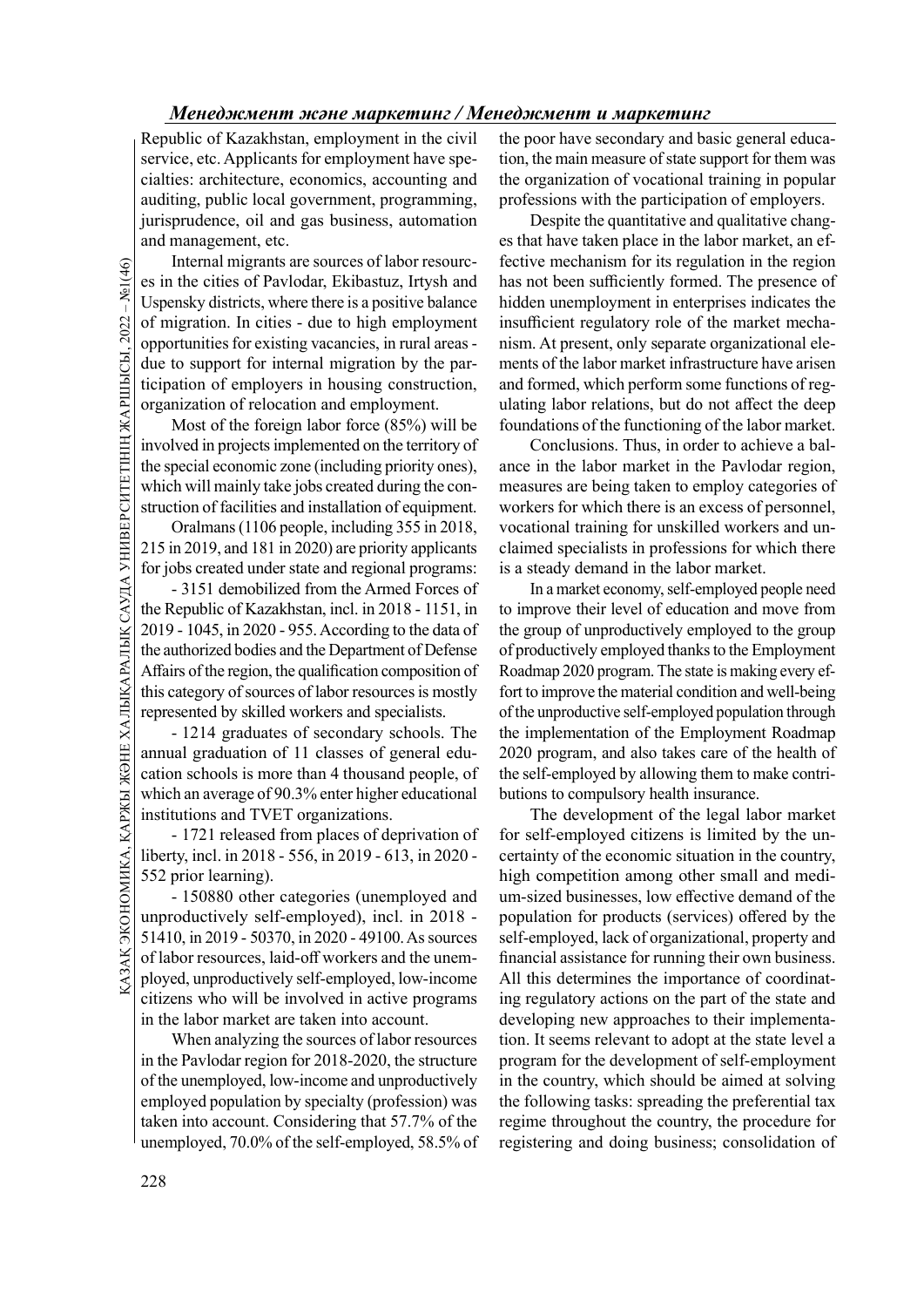Republic of Kazakhstan, employment in the civil service, etc. Applicants for employment have specialties: architecture, economics, accounting and auditing, public local government, programming, jurisprudence, oil and gas business, automation and management, etc.

The internal migrants at estimated the cities of Pavlo Uspensky districts, where of migration. In cities opportunities for existin due to support for internal trigogramization of employer organization of relocation Most o Internal migrants are sources of labor resources in the cities of Pavlodar, Ekibastuz, Irtysh and Uspensky districts, where there is a positive balance of migration. In cities - due to high employment opportunities for existing vacancies, in rural areas due to support for internal migration by the participation of employers in housing construction, organization of relocation and employment.

Most of the foreign labor force (85%) will be involved in projects implemented on the territory of the special economic zone (including priority ones), which will mainly take jobs created during the construction of facilities and installation of equipment.

Oralmans (1106 people, including 355 in 2018, 215 in 2019, and 181 in 2020) are priority applicants for jobs created under state and regional programs:

- 3151 demobilized from the Armed Forces of the Republic of Kazakhstan, incl. in 2018 - 1151, in 2019 - 1045, in 2020 - 955. According to the data of the authorized bodies and the Department of Defense Affairs of the region, the qualification composition of this category of sources of labor resources is mostly represented by skilled workers and specialists.

- 1214 graduates of secondary schools. The annual graduation of 11 classes of general education schools is more than 4 thousand people, of which an average of 90.3% enter higher educational institutions and TVET organizations.

- 1721 released from places of deprivation of liberty, incl. in 2018 - 556, in 2019 - 613, in 2020 - 552 prior learning).

Example of 90.3% enter higher educational<br>  $\frac{1}{2}$  which an average of 90.3% enter higher educational butions to co<br>
institutions and TVET organizations. The development<br>  $\frac{1}{2}$  liberty, incl. in 2018 - 556, in 2019 - 150880 other categories (unemployed and unproductively self-employed), incl. in 2018 - 51410, in 2019 - 50370, in 2020 - 49100. As sources of labor resources, laid-off workers and the unemployed, unproductively self-employed, low-income citizens who will be involved in active programs in the labor market are taken into account.

When analyzing the sources of labor resources in the Pavlodar region for 2018-2020, the structure of the unemployed, low-income and unproductively employed population by specialty (profession) was taken into account. Considering that 57.7% of the unemployed, 70.0% of the self-employed, 58.5% of the poor have secondary and basic general education, the main measure of state support for them was the organization of vocational training in popular professions with the participation of employers.

Despite the quantitative and qualitative changes that have taken place in the labor market, an effective mechanism for its regulation in the region has not been sufficiently formed. The presence of hidden unemployment in enterprises indicates the insufficient regulatory role of the market mechanism. At present, only separate organizational elements of the labor market infrastructure have arisen and formed, which perform some functions of regulating labor relations, but do not affect the deep foundations of the functioning of the labor market.

Conclusions. Thus, in order to achieve a balance in the labor market in the Pavlodar region, measures are being taken to employ categories of workers for which there is an excess of personnel, vocational training for unskilled workers and unclaimed specialists in professions for which there is a steady demand in the labor market.

In a market economy, self-employed people need to improve their level of education and move from the group of unproductively employed to the group of productively employed thanks to the Employment Roadmap 2020 program. The state is making every effort to improve the material condition and well-being of the unproductive self-employed population through the implementation of the Employment Roadmap 2020 program, and also takes care of the health of the self-employed by allowing them to make contributions to compulsory health insurance.

The development of the legal labor market for self-employed citizens is limited by the uncertainty of the economic situation in the country, high competition among other small and medium-sized businesses, low effective demand of the population for products (services) offered by the self-employed, lack of organizational, property and financial assistance for running their own business. All this determines the importance of coordinating regulatory actions on the part of the state and developing new approaches to their implementation. It seems relevant to adopt at the state level a program for the development of self-employment in the country, which should be aimed at solving the following tasks: spreading the preferential tax regime throughout the country, the procedure for registering and doing business; consolidation of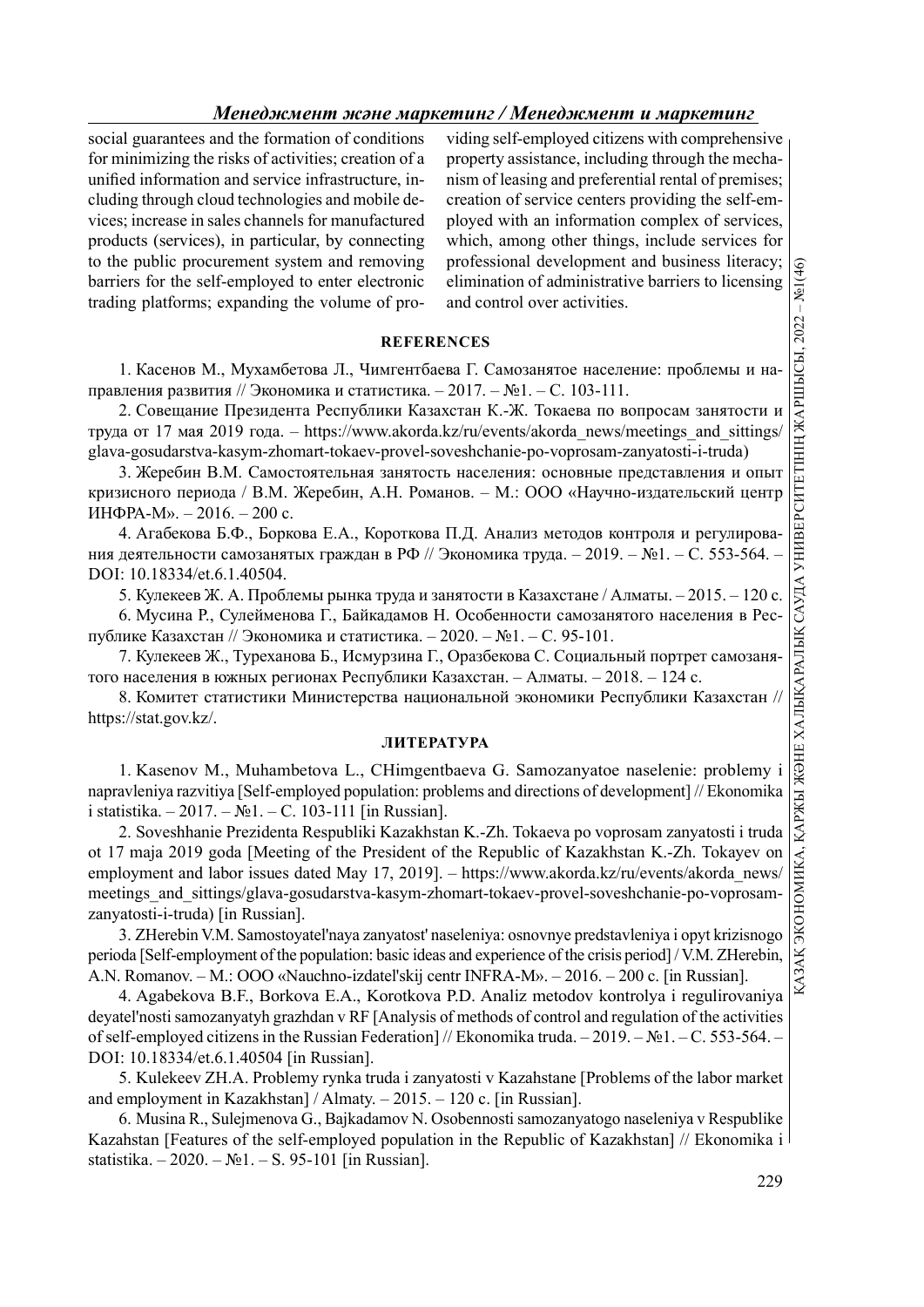social guarantees and the formation of conditions for minimizing the risks of activities; creation of a unified information and service infrastructure, including through cloud technologies and mobile devices; increase in sales channels for manufactured products (services), in particular, by connecting to the public procurement system and removing barriers for the self-employed to enter electronic trading platforms; expanding the volume of pro-

viding self-employed citizens with comprehensive property assistance, including through the mechanism of leasing and preferential rental of premises; creation of service centers providing the self-employed with an information complex of services, which, among other things, include services for professional development and business literacy; elimination of administrative barriers to licensing and control over activities.

## **REFERENCES**

1. Касенов М., Мухамбетова Л., Чимгентбаева Г. Самозанятое население: проблемы и направления развития // Экономика и статистика. – 2017. – №1. – C. 103-111.

2. Совещание Президента Республики Казахстан К.-Ж. Токаева по вопросам занятости и труда от 17 мая 2019 года. – https://www.akorda.kz/ru/events/akorda\_news/meetings\_and\_sittings/ glava-gosudarstva-kasym-zhomart-tokaev-provel-soveshchanie-po-voprosam-zanyatosti-i-truda)

3. Жеребин В.М. Самостоятельная занятость населения: основные представления и опыт кризисного периода / В.М. Жеребин, А.Н. Романов. – М.: ООО «Научно-издательский центр ИНФРА-М». – 2016. – 200 с.

4. Агабекова Б.Ф., Боркова Е.А., Короткова П.Д. Анализ методов контроля и регулирования деятельности самозанятых граждан в РФ // Экономика труда. – 2019. – №1. – С. 553-564. DOI: 10.18334/et.6.1.40504.

5. Кулекеев Ж. А. Проблемы рынка труда и занятости в Казахстане / Алматы. – 2015. – 120 c.

6. Мусина Р., Сулейменова Г., Байкадамов Н. Особенности самозанятого населения в Республике Казахстан // Экономика и статистика. – 2020. – №1. – С. 95-101.

7. Кулекеев Ж., Туреханова Б., Исмурзина Г., Оразбекова С. Социальный портрет самозанятого населения в южных регионах Республики Казахстан. – Алматы. – 2018. – 124 c.

https://stat.gov.kz/.

### ЛИТЕРАТУРА

1. Kasenov M., Muhambetova L., CHimgentbaeva G. Samozanyatoe naselenie: problemy i napravleniya razvitiya [Self-employed population: problems and directions of development] // Ekonomika i statistika. – 2017. – №1. – C. 103-111 [in Russian].

Burline monetarina system and reminively professional diretiophemic and burlines interactions<br>
ing platforms; expanding the volume of pro-<br>
and control over activities.<br>
1. Kacesoo M., Myxamferons at  $R = R = 2017 - R = 103 - 11$ 2. Soveshhanie Prezidenta Respubliki Kazakhstan K.-Zh. Tokaeva po voprosam zanyatosti i truda ot 17 maja 2019 goda [Meeting of the President of the Republic of Kazakhstan K.-Zh. Tokayev on employment and labor issues dated May 17, 2019]. – https://www.akorda.kz/ru/events/akorda\_news/ meetings and sittings/glava-gosudarstva-kasym-zhomart-tokaev-provel-soveshchanie-po-voprosamzanyatosti-i-truda) [in Russian].

3. ZHerebin V.M. Samostoyatel'naya zanyatost' naseleniya: osnovnye predstavleniya i opyt krizisnogo perioda [Self-employment of the population: basic ideas and experience of the crisis period] / V.M. ZHerebin, A.N. Romanov. – M.: OOO «Nauchno-izdatel'skij centr INFRA-M». – 2016. – 200 c. [in Russian].

4. Agabekova B.F., Borkova E.A., Korotkova P.D. Analiz metodov kontrolya i regulirovaniya deyatel'nosti samozanyatyh grazhdan v RF [Analysis of methods of control and regulation of the activities of self-employed citizens in the Russian Federation] // Ekonomika truda. – 2019. – №1. – C. 553-564. – DOI: 10.18334/et.6.1.40504 [in Russian].

5. Kulekeev ZH.A. Problemy rynka truda i zanyatosti v Kazahstane [Problems of the labor market and employment in Kazakhstan] / Almaty. – 2015. – 120 c. [in Russian].

6. Musina R., Sulejmenova G., Bajkadamov N. Osobennosti samozanyatogo naseleniya v Respublike Kazahstan [Features of the self-employed population in the Republic of Kazakhstan] // Ekonomika i statistika. – 2020. – №1. – S. 95-101 [in Russian].